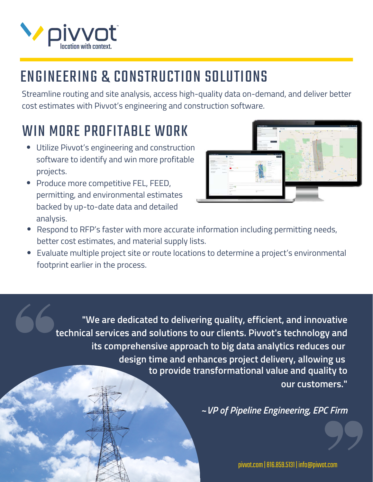

## ENGINEERING & CONSTRUCTION SOLUTIONS

Streamline routing and site analysis, access high-quality data on-demand, and deliver better cost estimates with Pivvot's engineering and construction software.

## WIN MORE PROFITABLE WORK

- Utilize Pivvot's engineering and construction software to identify and win more profitable projects.
- Produce more competitive FEL, FEED, permitting, and environmental estimates backed by up-to-date data and detailed analysis.



- Respond to RFP's faster with more accurate information including permitting needs, better cost estimates, and material supply lists.
- Evaluate multiple project site or route locations to determine a project's environmental footprint earlier in the process.

**"We are dedicated to delivering quality, efficient, and innovative technical services and solutions to our clients. Pivvot's technology and its comprehensive approach to big data analytics reduces our design time and enhances project delivery, allowing us to provide transformational value and quality to our customers."**

**~***VP of Pipeline Engineering, EPC Firm*

pivvot.com | 816.859.5131 | info@pivvot.com